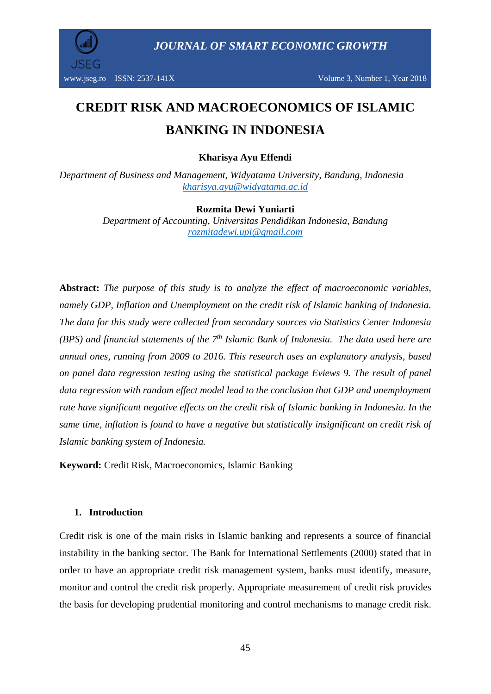

*JOURNAL OF SMART ECONOMIC GROWTH*

# **CREDIT RISK AND MACROECONOMICS OF ISLAMIC BANKING IN INDONESIA**

#### **Kharisya Ayu Effendi**

*Department of Business and Management, Widyatama University, Bandung, Indonesia [kharisya.ayu@widyatama.ac.id](mailto:kharisya.ayu@widyatama.ac.id)*

#### **Rozmita Dewi Yuniarti**

*Department of Accounting, Universitas Pendidikan Indonesia, Bandung [rozmitadewi.upi@gmail.com](mailto:rozmitadewi.upi@gmail.com)*

**Abstract:** *The purpose of this study is to analyze the effect of macroeconomic variables, namely GDP, Inflation and Unemployment on the credit risk of Islamic banking of Indonesia. The data for this study were collected from secondary sources via Statistics Center Indonesia (BPS) and financial statements of the 7 th Islamic Bank of Indonesia. The data used here are annual ones, running from 2009 to 2016. This research uses an explanatory analysis, based on panel data regression testing using the statistical package Eviews 9. The result of panel data regression with random effect model lead to the conclusion that GDP and unemployment rate have significant negative effects on the credit risk of Islamic banking in Indonesia. In the same time, inflation is found to have a negative but statistically insignificant on credit risk of Islamic banking system of Indonesia.*

**Keyword:** Credit Risk, Macroeconomics, Islamic Banking

#### **1. Introduction**

Credit risk is one of the main risks in Islamic banking and represents a source of financial instability in the banking sector. The Bank for International Settlements (2000) stated that in order to have an appropriate credit risk management system, banks must identify, measure, monitor and control the credit risk properly. Appropriate measurement of credit risk provides the basis for developing prudential monitoring and control mechanisms to manage credit risk.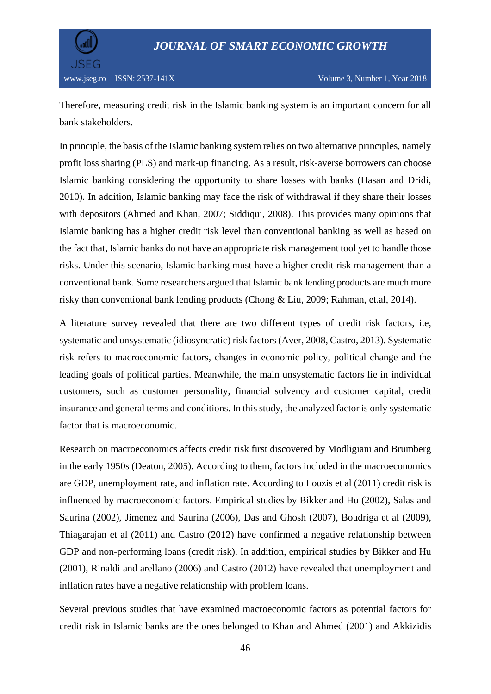

Therefore, measuring credit risk in the Islamic banking system is an important concern for all bank stakeholders.

In principle, the basis of the Islamic banking system relies on two alternative principles, namely profit loss sharing (PLS) and mark-up financing. As a result, risk-averse borrowers can choose Islamic banking considering the opportunity to share losses with banks (Hasan and Dridi, 2010). In addition, Islamic banking may face the risk of withdrawal if they share their losses with depositors (Ahmed and Khan, 2007; Siddiqui, 2008). This provides many opinions that Islamic banking has a higher credit risk level than conventional banking as well as based on the fact that, Islamic banks do not have an appropriate risk management tool yet to handle those risks. Under this scenario, Islamic banking must have a higher credit risk management than a conventional bank. Some researchers argued that Islamic bank lending products are much more risky than conventional bank lending products (Chong & Liu, 2009; Rahman, et.al, 2014).

A literature survey revealed that there are two different types of credit risk factors, i.e, systematic and unsystematic (idiosyncratic) risk factors (Aver, 2008, Castro, 2013). Systematic risk refers to macroeconomic factors, changes in economic policy, political change and the leading goals of political parties. Meanwhile, the main unsystematic factors lie in individual customers, such as customer personality, financial solvency and customer capital, credit insurance and general terms and conditions. In this study, the analyzed factor is only systematic factor that is macroeconomic.

Research on macroeconomics affects credit risk first discovered by Modligiani and Brumberg in the early 1950s (Deaton, 2005). According to them, factors included in the macroeconomics are GDP, unemployment rate, and inflation rate. According to Louzis et al (2011) credit risk is influenced by macroeconomic factors. Empirical studies by Bikker and Hu (2002), Salas and Saurina (2002), Jimenez and Saurina (2006), Das and Ghosh (2007), Boudriga et al (2009), Thiagarajan et al (2011) and Castro (2012) have confirmed a negative relationship between GDP and non-performing loans (credit risk). In addition, empirical studies by Bikker and Hu (2001), Rinaldi and arellano (2006) and Castro (2012) have revealed that unemployment and inflation rates have a negative relationship with problem loans.

Several previous studies that have examined macroeconomic factors as potential factors for credit risk in Islamic banks are the ones belonged to Khan and Ahmed (2001) and Akkizidis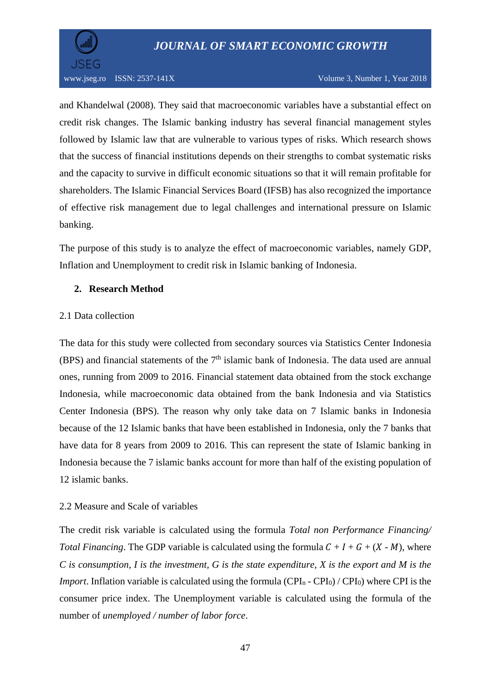



www.jseg.ro ISSN: 2537-141X Volume 3, Number 1, Year 2018

and Khandelwal (2008). They said that macroeconomic variables have a substantial effect on credit risk changes. The Islamic banking industry has several financial management styles followed by Islamic law that are vulnerable to various types of risks. Which research shows that the success of financial institutions depends on their strengths to combat systematic risks and the capacity to survive in difficult economic situations so that it will remain profitable for shareholders. The Islamic Financial Services Board (IFSB) has also recognized the importance of effective risk management due to legal challenges and international pressure on Islamic banking.

The purpose of this study is to analyze the effect of macroeconomic variables, namely GDP, Inflation and Unemployment to credit risk in Islamic banking of Indonesia.

#### **2. Research Method**

#### 2.1 Data collection

The data for this study were collected from secondary sources via Statistics Center Indonesia (BPS) and financial statements of the  $7<sup>th</sup>$  islamic bank of Indonesia. The data used are annual ones, running from 2009 to 2016. Financial statement data obtained from the stock exchange Indonesia, while macroeconomic data obtained from the bank Indonesia and via Statistics Center Indonesia (BPS). The reason why only take data on 7 Islamic banks in Indonesia because of the 12 Islamic banks that have been established in Indonesia, only the 7 banks that have data for 8 years from 2009 to 2016. This can represent the state of Islamic banking in Indonesia because the 7 islamic banks account for more than half of the existing population of 12 islamic banks.

#### 2.2 Measure and Scale of variables

The credit risk variable is calculated using the formula *Total non Performance Financing/ Total Financing*. The GDP variable is calculated using the formula  $C + I + G + (X - M)$ , where  $C$  is consumption, I is the investment, G is the state expenditure, X is the export and M is the *Import*. Inflation variable is calculated using the formula (CPI<sub>n</sub> - CPI<sub>0</sub>) / CPI<sub>0</sub>) where CPI is the consumer price index. The Unemployment variable is calculated using the formula of the number of *unemployed / number of labor force*.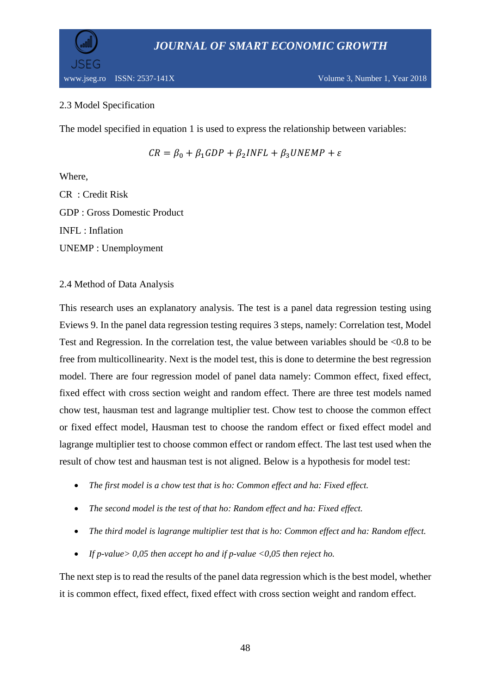



## 2.3 Model Specification

The model specified in equation 1 is used to express the relationship between variables:

 $CR = \beta_0 + \beta_1 GDP + \beta_2 INFL + \beta_3 UNEMP + \varepsilon$ 

Where,

CR : Credit Risk GDP : Gross Domestic Product INFL : Inflation UNEMP : Unemployment

2.4 Method of Data Analysis

This research uses an explanatory analysis. The test is a panel data regression testing using Eviews 9. In the panel data regression testing requires 3 steps, namely: Correlation test, Model Test and Regression. In the correlation test, the value between variables should be <0.8 to be free from multicollinearity. Next is the model test, this is done to determine the best regression model. There are four regression model of panel data namely: Common effect, fixed effect, fixed effect with cross section weight and random effect. There are three test models named chow test, hausman test and lagrange multiplier test. Chow test to choose the common effect or fixed effect model, Hausman test to choose the random effect or fixed effect model and lagrange multiplier test to choose common effect or random effect. The last test used when the result of chow test and hausman test is not aligned. Below is a hypothesis for model test:

- *The first model is a chow test that is ho: Common effect and ha: Fixed effect.*
- *The second model is the test of that ho: Random effect and ha: Fixed effect.*
- *The third model is lagrange multiplier test that is ho: Common effect and ha: Random effect.*
- *If p-value> 0,05 then accept ho and if p-value <0,05 then reject ho.*

The next step is to read the results of the panel data regression which is the best model, whether it is common effect, fixed effect, fixed effect with cross section weight and random effect.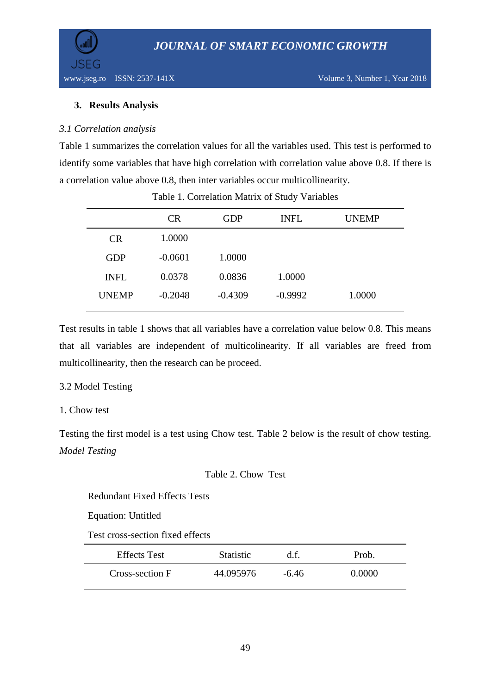

# **3. Results Analysis**

## *3.1 Correlation analysis*

Table 1 summarizes the correlation values for all the variables used. This test is performed to identify some variables that have high correlation with correlation value above 0.8. If there is a correlation value above 0.8, then inter variables occur multicollinearity.

| <b>UNEMP</b> |
|--------------|
|              |
|              |
|              |
|              |
|              |

Table 1. Correlation Matrix of Study Variables

Test results in table 1 shows that all variables have a correlation value below 0.8. This means that all variables are independent of multicolinearity. If all variables are freed from multicollinearity, then the research can be proceed.

## 3.2 Model Testing

# 1. Chow test

Testing the first model is a test using Chow test. Table 2 below is the result of chow testing. *Model Testing*

## Table 2. Chow Test

Redundant Fixed Effects Tests

Equation: Untitled

Test cross-section fixed effects

| <b>Effects</b> Test | <b>Statistic</b> | d.f.    | Prob.  |
|---------------------|------------------|---------|--------|
| Cross-section F     | 44.095976        | $-6.46$ | 0.0000 |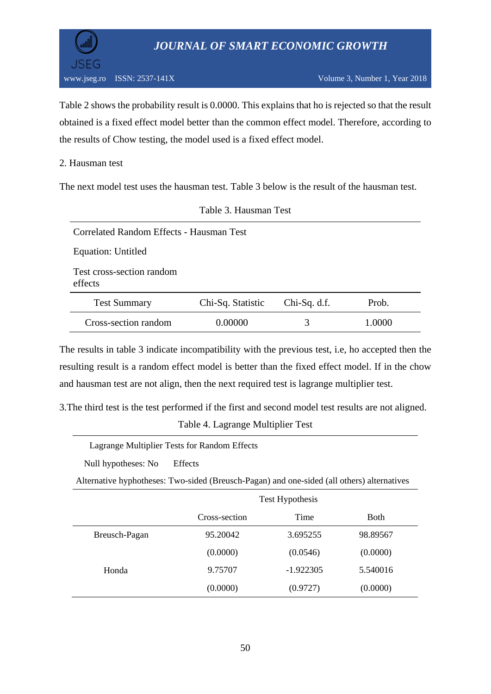



Table 2 shows the probability result is 0.0000. This explains that ho is rejected so that the result obtained is a fixed effect model better than the common effect model. Therefore, according to the results of Chow testing, the model used is a fixed effect model.

#### 2. Hausman test

The next model test uses the hausman test. Table 3 below is the result of the hausman test.

Table 3. Hausman Test

| Correlated Random Effects - Hausman Test |                   |                |       |  |
|------------------------------------------|-------------------|----------------|-------|--|
| <b>Equation: Untitled</b>                |                   |                |       |  |
| Test cross-section random<br>effects     |                   |                |       |  |
| <b>Test Summary</b>                      | Chi-Sq. Statistic | $Chi-Sq. d.f.$ | Prob. |  |
| Cross-section random                     | Ი ᲘᲘᲘᲘᲘ           | 3              |       |  |

The results in table 3 indicate incompatibility with the previous test, i.e, ho accepted then the resulting result is a random effect model is better than the fixed effect model. If in the chow and hausman test are not align, then the next required test is lagrange multiplier test.

3.The third test is the test performed if the first and second model test results are not aligned. Table 4. Lagrange Multiplier Test

|                     | Lagrange Multiplier Tests for Random Effects                                               |
|---------------------|--------------------------------------------------------------------------------------------|
| Null hypotheses: No | <b>Effects</b>                                                                             |
|                     | Alternative hyphotheses: Two-sided (Breusch-Pagan) and one-sided (all others) alternatives |

|               | Test Hypothesis |             |             |  |
|---------------|-----------------|-------------|-------------|--|
|               | Cross-section   | Time        | <b>Both</b> |  |
| Breusch-Pagan | 95.20042        | 3.695255    | 98.89567    |  |
|               | (0.0000)        | (0.0546)    | (0.0000)    |  |
| Honda         | 9.75707         | $-1.922305$ | 5.540016    |  |
|               | (0.0000)        | (0.9727)    | (0.0000)    |  |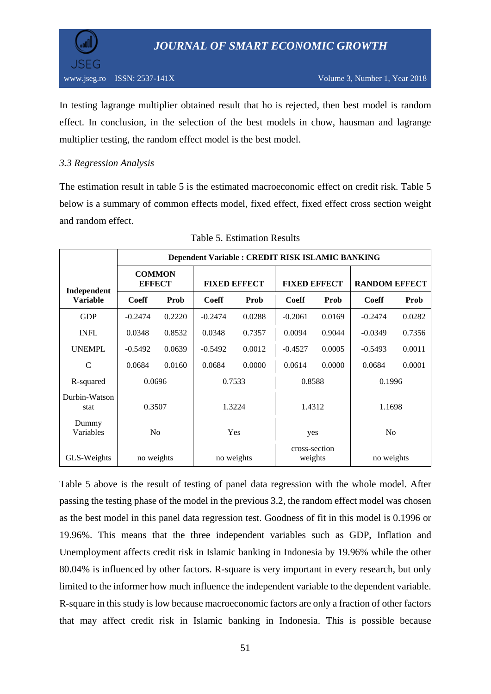

 $\overline{\phantom{a}}$ 

In testing lagrange multiplier obtained result that ho is rejected, then best model is random effect. In conclusion, in the selection of the best models in chow, hausman and lagrange multiplier testing, the random effect model is the best model.

## *3.3 Regression Analysis*

The estimation result in table 5 is the estimated macroeconomic effect on credit risk. Table 5 below is a summary of common effects model, fixed effect, fixed effect cross section weight and random effect.

|                       | Dependent Variable : CREDIT RISK ISLAMIC BANKING |        |                     |            |                          |        |                      |        |
|-----------------------|--------------------------------------------------|--------|---------------------|------------|--------------------------|--------|----------------------|--------|
| Independent           | <b>COMMON</b><br><b>EFFECT</b>                   |        | <b>FIXED EFFECT</b> |            | <b>FIXED EFFECT</b>      |        | <b>RANDOM EFFECT</b> |        |
| <b>Variable</b>       | <b>Coeff</b>                                     | Prob   | Coeff               | Prob       | Coeff                    | Prob   | Coeff                | Prob   |
| <b>GDP</b>            | $-0.2474$                                        | 0.2220 | $-0.2474$           | 0.0288     | $-0.2061$                | 0.0169 | $-0.2474$            | 0.0282 |
| <b>INFL</b>           | 0.0348                                           | 0.8532 | 0.0348              | 0.7357     | 0.0094                   | 0.9044 | $-0.0349$            | 0.7356 |
| <b>UNEMPL</b>         | $-0.5492$                                        | 0.0639 | $-0.5492$           | 0.0012     | $-0.4527$                | 0.0005 | $-0.5493$            | 0.0011 |
| $\mathsf{C}$          | 0.0684                                           | 0.0160 | 0.0684              | 0.0000     | 0.0614                   | 0.0000 | 0.0684               | 0.0001 |
| R-squared             | 0.0696                                           |        | 0.7533              |            | 0.8588                   |        | 0.1996               |        |
| Durbin-Watson<br>stat | 0.3507                                           |        | 1.3224              |            | 1.4312                   |        | 1.1698               |        |
| Dummy<br>Variables    | No                                               |        | Yes                 |            | yes                      |        | No                   |        |
| GLS-Weights           | no weights                                       |        |                     | no weights | cross-section<br>weights |        | no weights           |        |

## Table 5. Estimation Results

Table 5 above is the result of testing of panel data regression with the whole model. After passing the testing phase of the model in the previous 3.2, the random effect model was chosen as the best model in this panel data regression test. Goodness of fit in this model is 0.1996 or 19.96%. This means that the three independent variables such as GDP, Inflation and Unemployment affects credit risk in Islamic banking in Indonesia by 19.96% while the other 80.04% is influenced by other factors. R-square is very important in every research, but only limited to the informer how much influence the independent variable to the dependent variable. R-square in this study is low because macroeconomic factors are only a fraction of other factors that may affect credit risk in Islamic banking in Indonesia. This is possible because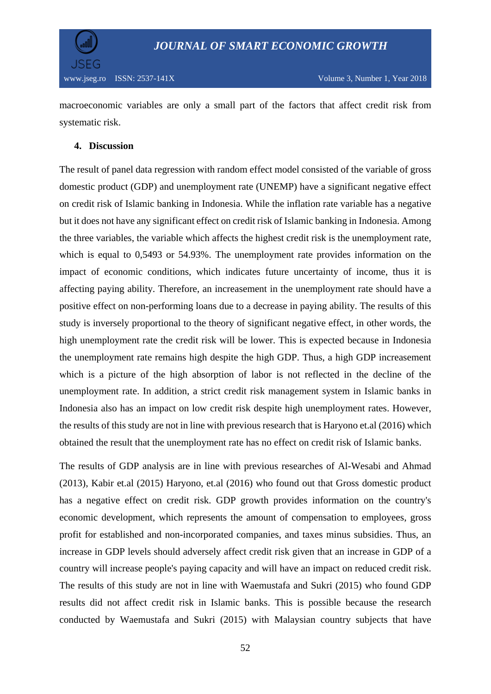

macroeconomic variables are only a small part of the factors that affect credit risk from systematic risk.

## **4. Discussion**

The result of panel data regression with random effect model consisted of the variable of gross domestic product (GDP) and unemployment rate (UNEMP) have a significant negative effect on credit risk of Islamic banking in Indonesia. While the inflation rate variable has a negative but it does not have any significant effect on credit risk of Islamic banking in Indonesia. Among the three variables, the variable which affects the highest credit risk is the unemployment rate, which is equal to 0,5493 or 54.93%. The unemployment rate provides information on the impact of economic conditions, which indicates future uncertainty of income, thus it is affecting paying ability. Therefore, an increasement in the unemployment rate should have a positive effect on non-performing loans due to a decrease in paying ability. The results of this study is inversely proportional to the theory of significant negative effect, in other words, the high unemployment rate the credit risk will be lower. This is expected because in Indonesia the unemployment rate remains high despite the high GDP. Thus, a high GDP increasement which is a picture of the high absorption of labor is not reflected in the decline of the unemployment rate. In addition, a strict credit risk management system in Islamic banks in Indonesia also has an impact on low credit risk despite high unemployment rates. However, the results of this study are not in line with previous research that is Haryono et.al (2016) which obtained the result that the unemployment rate has no effect on credit risk of Islamic banks.

The results of GDP analysis are in line with previous researches of Al-Wesabi and Ahmad (2013), Kabir et.al (2015) Haryono, et.al (2016) who found out that Gross domestic product has a negative effect on credit risk. GDP growth provides information on the country's economic development, which represents the amount of compensation to employees, gross profit for established and non-incorporated companies, and taxes minus subsidies. Thus, an increase in GDP levels should adversely affect credit risk given that an increase in GDP of a country will increase people's paying capacity and will have an impact on reduced credit risk. The results of this study are not in line with Waemustafa and Sukri (2015) who found GDP results did not affect credit risk in Islamic banks. This is possible because the research conducted by Waemustafa and Sukri (2015) with Malaysian country subjects that have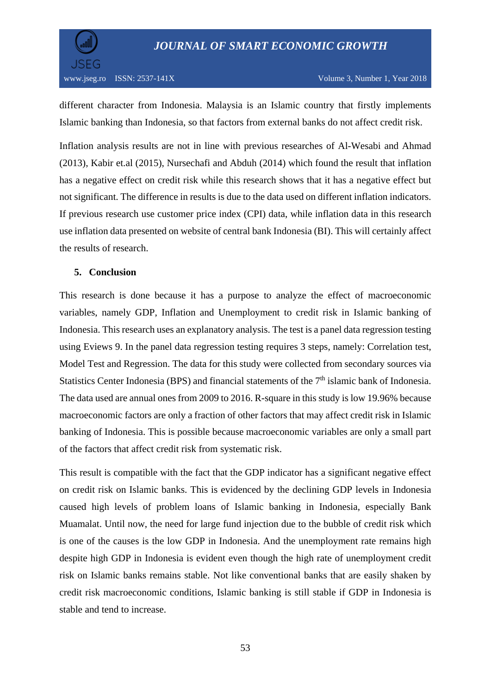

different character from Indonesia. Malaysia is an Islamic country that firstly implements Islamic banking than Indonesia, so that factors from external banks do not affect credit risk.

Inflation analysis results are not in line with previous researches of Al-Wesabi and Ahmad (2013), Kabir et.al (2015), Nursechafi and Abduh (2014) which found the result that inflation has a negative effect on credit risk while this research shows that it has a negative effect but not significant. The difference in results is due to the data used on different inflation indicators. If previous research use customer price index (CPI) data, while inflation data in this research use inflation data presented on website of central bank Indonesia (BI). This will certainly affect the results of research.

## **5. Conclusion**

This research is done because it has a purpose to analyze the effect of macroeconomic variables, namely GDP, Inflation and Unemployment to credit risk in Islamic banking of Indonesia. This research uses an explanatory analysis. The test is a panel data regression testing using Eviews 9. In the panel data regression testing requires 3 steps, namely: Correlation test, Model Test and Regression. The data for this study were collected from secondary sources via Statistics Center Indonesia (BPS) and financial statements of the 7<sup>th</sup> islamic bank of Indonesia. The data used are annual ones from 2009 to 2016. R-square in this study is low 19.96% because macroeconomic factors are only a fraction of other factors that may affect credit risk in Islamic banking of Indonesia. This is possible because macroeconomic variables are only a small part of the factors that affect credit risk from systematic risk.

This result is compatible with the fact that the GDP indicator has a significant negative effect on credit risk on Islamic banks. This is evidenced by the declining GDP levels in Indonesia caused high levels of problem loans of Islamic banking in Indonesia, especially Bank Muamalat. Until now, the need for large fund injection due to the bubble of credit risk which is one of the causes is the low GDP in Indonesia. And the unemployment rate remains high despite high GDP in Indonesia is evident even though the high rate of unemployment credit risk on Islamic banks remains stable. Not like conventional banks that are easily shaken by credit risk macroeconomic conditions, Islamic banking is still stable if GDP in Indonesia is stable and tend to increase.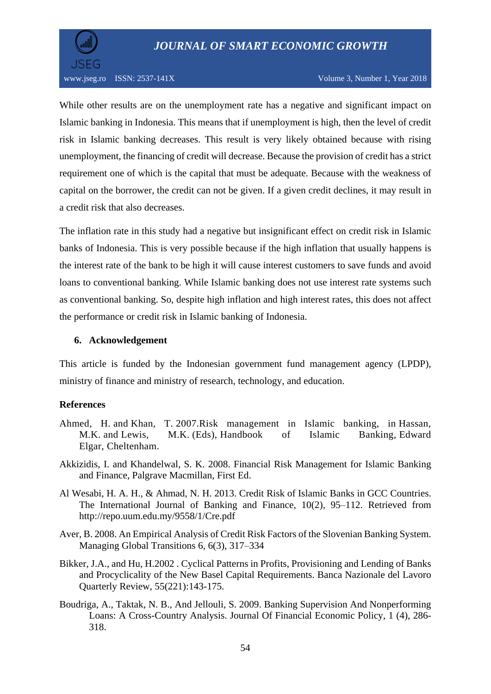

While other results are on the unemployment rate has a negative and significant impact on Islamic banking in Indonesia. This means that if unemployment is high, then the level of credit risk in Islamic banking decreases. This result is very likely obtained because with rising unemployment, the financing of credit will decrease. Because the provision of credit has a strict requirement one of which is the capital that must be adequate. Because with the weakness of capital on the borrower, the credit can not be given. If a given credit declines, it may result in a credit risk that also decreases.

The inflation rate in this study had a negative but insignificant effect on credit risk in Islamic banks of Indonesia. This is very possible because if the high inflation that usually happens is the interest rate of the bank to be high it will cause interest customers to save funds and avoid loans to conventional banking. While Islamic banking does not use interest rate systems such as conventional banking. So, despite high inflation and high interest rates, this does not affect the performance or credit risk in Islamic banking of Indonesia.

#### **6. Acknowledgement**

This article is funded by the Indonesian government fund management agency (LPDP), ministry of finance and ministry of research, technology, and education.

## **References**

- Ahmed, H. and Khan, T. 2007.Risk management in Islamic banking, in Hassan, M.K. and Lewis, M.K. (Eds), Handbook of Islamic Banking, Edward Elgar, Cheltenham.
- Akkizidis, I. and Khandelwal, S. K. 2008. Financial Risk Management for Islamic Banking and Finance, Palgrave Macmillan, First Ed.
- Al Wesabi, H. A. H., & Ahmad, N. H. 2013. Credit Risk of Islamic Banks in GCC Countries. The International Journal of Banking and Finance, 10(2), 95–112. Retrieved from http://repo.uum.edu.my/9558/1/Cre.pdf
- Aver, B. 2008. An Empirical Analysis of Credit Risk Factors of the Slovenian Banking System. Managing Global Transitions 6, 6(3), 317–334
- Bikker, J.A., and Hu, H.2002 . Cyclical Patterns in Profits, Provisioning and Lending of Banks and Procyclicality of the New Basel Capital Requirements. Banca Nazionale del Lavoro Quarterly Review, 55(221):143-175.
- Boudriga, A., Taktak, N. B., And Jellouli, S. 2009. Banking Supervision And Nonperforming Loans: A Cross-Country Analysis. Journal Of Financial Economic Policy, 1 (4), 286- 318.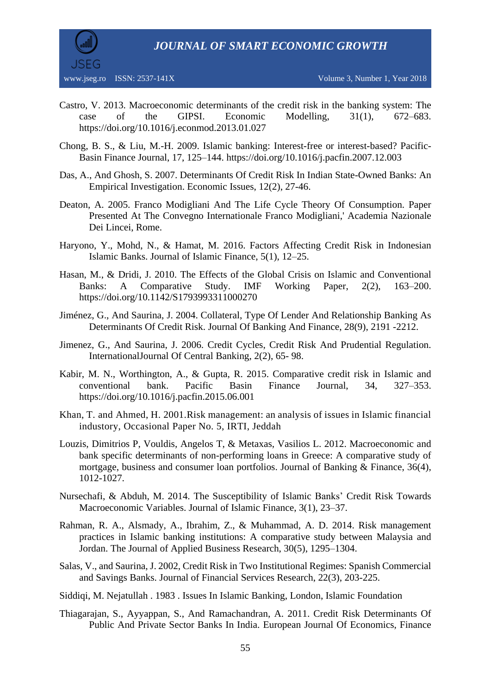*JOURNAL OF SMART ECONOMIC GROWTH*



- Castro, V. 2013. Macroeconomic determinants of the credit risk in the banking system: The case of the GIPSI. Economic Modelling, 31(1), 672–683. https://doi.org/10.1016/j.econmod.2013.01.027
- Chong, B. S., & Liu, M.-H. 2009. Islamic banking: Interest-free or interest-based? Pacific-Basin Finance Journal, 17, 125–144. https://doi.org/10.1016/j.pacfin.2007.12.003
- Das, A., And Ghosh, S. 2007. Determinants Of Credit Risk In Indian State-Owned Banks: An Empirical Investigation. Economic Issues, 12(2), 27-46.
- Deaton, A. 2005. Franco Modigliani And The Life Cycle Theory Of Consumption. Paper Presented At The Convegno Internationale Franco Modigliani,' Academia Nazionale Dei Lincei, Rome.
- Haryono, Y., Mohd, N., & Hamat, M. 2016. Factors Affecting Credit Risk in Indonesian Islamic Banks. Journal of Islamic Finance, 5(1), 12–25.
- Hasan, M., & Dridi, J. 2010. The Effects of the Global Crisis on Islamic and Conventional Banks: A Comparative Study. IMF Working Paper, 2(2), 163–200. https://doi.org/10.1142/S1793993311000270
- Jiménez, G., And Saurina, J. 2004. Collateral, Type Of Lender And Relationship Banking As Determinants Of Credit Risk. Journal Of Banking And Finance, 28(9), 2191 -2212.
- Jimenez, G., And Saurina, J. 2006. Credit Cycles, Credit Risk And Prudential Regulation. InternationalJournal Of Central Banking, 2(2), 65- 98.
- Kabir, M. N., Worthington, A., & Gupta, R. 2015. Comparative credit risk in Islamic and conventional bank. Pacific Basin Finance Journal, 34, 327–353. https://doi.org/10.1016/j.pacfin.2015.06.001
- Khan, T. and Ahmed, H. 2001.Risk management: an analysis of issues in Islamic financial industory, Occasional Paper No. 5, IRTI, Jeddah
- Louzis, Dimitrios P, Vouldis, Angelos T, & Metaxas, Vasilios L. 2012. Macroeconomic and bank specific determinants of non-performing loans in Greece: A comparative study of mortgage, business and consumer loan portfolios. Journal of Banking & Finance, 36(4), 1012-1027.
- Nursechafi, & Abduh, M. 2014. The Susceptibility of Islamic Banks' Credit Risk Towards Macroeconomic Variables. Journal of Islamic Finance, 3(1), 23–37.
- Rahman, R. A., Alsmady, A., Ibrahim, Z., & Muhammad, A. D. 2014. Risk management practices in Islamic banking institutions: A comparative study between Malaysia and Jordan. The Journal of Applied Business Research, 30(5), 1295–1304.
- Salas, V., and Saurina, J. 2002, Credit Risk in Two Institutional Regimes: Spanish Commercial and Savings Banks. Journal of Financial Services Research, 22(3), 203-225.
- Siddiqi, M. Nejatullah . 1983 . Issues In Islamic Banking, London, Islamic Foundation
- Thiagarajan, S., Ayyappan, S., And Ramachandran, A. 2011. Credit Risk Determinants Of Public And Private Sector Banks In India. European Journal Of Economics, Finance